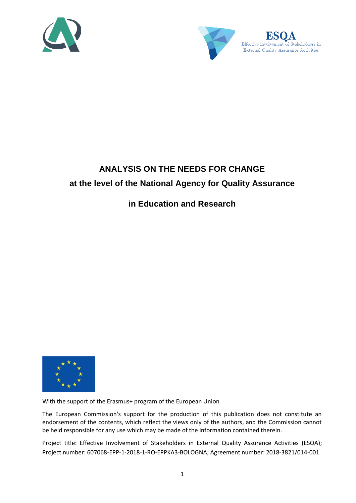



# **ANALYSIS ON THE NEEDS FOR CHANGE at the level of the National Agency for Quality Assurance**

## **in Education and Research**



With the support of the Erasmus+ program of the European Union

The European Commission's support for the production of this publication does not constitute an endorsement of the contents, which reflect the views only of the authors, and the Commission cannot be held responsible for any use which may be made of the information contained therein.

Project title: Effective Involvement of Stakeholders in External Quality Assurance Activities (ESQA); Project number: 607068-EPP-1-2018-1-RO-EPPKA3-BOLOGNA; Agreement number: 2018-3821/014-001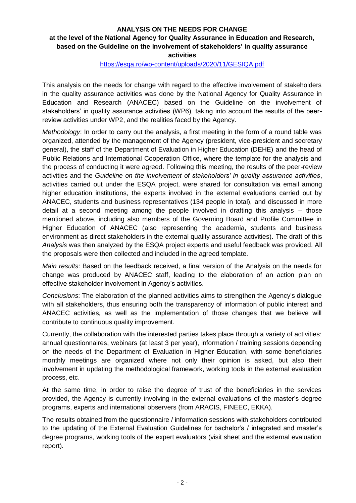### **ANALYSIS ON THE NEEDS FOR CHANGE**

### **at the level of the National Agency for Quality Assurance in Education and Research, based on the Guideline on the involvement of stakeholders' in quality assurance activities**

#### <https://esqa.ro/wp-content/uploads/2020/11/GESIQA.pdf>

This analysis on the needs for change with regard to the effective involvement of stakeholders in the quality assurance activities was done by the National Agency for Quality Assurance in Education and Research (ANACEC) based on the Guideline on the involvement of stakeholders' in quality assurance activities (WP6), taking into account the results of the peerreview activities under WP2, and the realities faced by the Agency.

*Methodology*: In order to carry out the analysis, a first meeting in the form of a round table was organized, attended by the management of the Agency (president, vice-president and secretary general), the staff of the Department of Evaluation in Higher Education (DEHE) and the head of Public Relations and International Cooperation Office, where the template for the analysis and the process of conducting it were agreed. Following this meeting, the results of the peer-review activities and the *Guideline on the involvement of stakeholders' in quality assurance activities*, activities carried out under the ESQA project, were shared for consultation via email among higher education institutions, the experts involved in the external evaluations carried out by ANACEC, students and business representatives (134 people in total), and discussed in more detail at a second meeting among the people involved in drafting this analysis – those mentioned above, including also members of the Governing Board and Profile Committee in Higher Education of ANACEC (also representing the academia, students and business environment as direct stakeholders in the external quality assurance activities). The draft of this *Analysis* was then analyzed by the ESQA project experts and useful feedback was provided. All the proposals were then collected and included in the agreed template.

*Main results*: Based on the feedback received, a final version of the Analysis on the needs for change was produced by ANACEC staff, leading to the elaboration of an action plan on effective stakeholder involvement in Agency's activities.

*Conclusions*: The elaboration of the planned activities aims to strengthen the Agency's dialogue with all stakeholders, thus ensuring both the transparency of information of public interest and ANACEC activities, as well as the implementation of those changes that we believe will contribute to continuous quality improvement.

Currently, the collaboration with the interested parties takes place through a variety of activities: annual questionnaires, webinars (at least 3 per year), information / training sessions depending on the needs of the Department of Evaluation in Higher Education, with some beneficiaries monthly meetings are organized where not only their opinion is asked, but also their involvement in updating the methodological framework, working tools in the external evaluation process, etc.

At the same time, in order to raise the degree of trust of the beneficiaries in the services provided, the Agency is currently involving in the external evaluations of the master's degree programs, experts and international observers (from ARACIS, FINEEC, EKKA).

The results obtained from the questionnaire / information sessions with stakeholders contributed to the updating of the External Evaluation Guidelines for bachelor's / integrated and master's degree programs, working tools of the expert evaluators (visit sheet and the external evaluation report).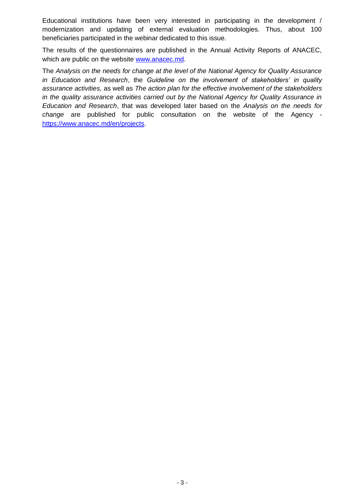Educational institutions have been very interested in participating in the development / modernization and updating of external evaluation methodologies. Thus, about 100 beneficiaries participated in the webinar dedicated to this issue.

The results of the questionnaires are published in the Annual Activity Reports of ANACEC, which are public on the website [www.anacec.md.](http://www.anacec.md/)

The *Analysis on the needs for change at the level of the National Agency for Quality Assurance in Education and Research*, the *Guideline on the involvement of stakeholders' in quality assurance activities,* as well as *The action plan for the effective involvement of the stakeholders in the quality assurance activities carried out by the National Agency for Quality Assurance in Education and Research*, that was developed later based on the *Analysis on the needs for change* are published for public consultation on the website of the Agency [https://www.anacec.md/en/projects.](https://www.anacec.md/en/projects)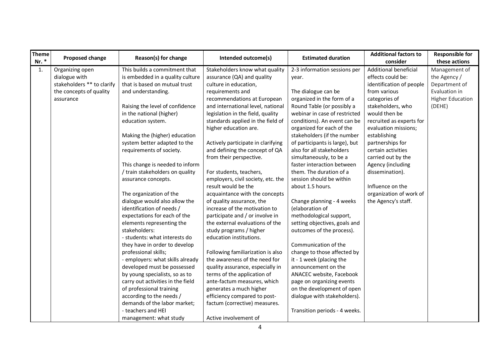| Theme<br>Nr. * | Proposed change            | Reason(s) for change              | Intended outcome(s)                | <b>Estimated duration</b>      | <b>Additional factors to</b><br>consider | <b>Responsible for</b><br>these actions |
|----------------|----------------------------|-----------------------------------|------------------------------------|--------------------------------|------------------------------------------|-----------------------------------------|
| 1.             | Organizing open            | This builds a commitment that     | Stakeholders know what quality     | 2-3 information sessions per   | Additional beneficial                    | Management of                           |
|                | dialogue with              | is embedded in a quality culture  | assurance (QA) and quality         | year.                          | effects could be:                        | the Agency /                            |
|                | stakeholders ** to clarify | that is based on mutual trust     | culture in education,              |                                | identification of people                 | Department of                           |
|                | the concepts of quality    | and understanding.                | requirements and                   | The dialogue can be            | from various                             | Evaluation in                           |
|                | assurance                  |                                   | recommendations at European        | organized in the form of a     | categories of                            | <b>Higher Education</b>                 |
|                |                            | Raising the level of confidence   | and international level, national  | Round Table (or possibly a     | stakeholders, who                        | (DEHE)                                  |
|                |                            | in the national (higher)          | legislation in the field, quality  | webinar in case of restricted  | would then be                            |                                         |
|                |                            | education system.                 | standards applied in the field of  | conditions). An event can be   | recruited as experts for                 |                                         |
|                |                            |                                   | higher education are.              | organized for each of the      | evaluation missions;                     |                                         |
|                |                            | Making the (higher) education     |                                    | stakeholders (if the number    | establishing                             |                                         |
|                |                            | system better adapted to the      | Actively participate in clarifying | of participants is large), but | partnerships for                         |                                         |
|                |                            | requirements of society.          | and defining the concept of QA     | also for all stakeholders      | certain activities                       |                                         |
|                |                            |                                   | from their perspective.            | simultaneously, to be a        | carried out by the                       |                                         |
|                |                            | This change is needed to inform   |                                    | faster interaction between     | Agency (including                        |                                         |
|                |                            | / train stakeholders on quality   | For students, teachers,            | them. The duration of a        | dissemination).                          |                                         |
|                |                            | assurance concepts.               | employers, civil society, etc. the | session should be within       |                                          |                                         |
|                |                            |                                   | result would be the                | about 1.5 hours.               | Influence on the                         |                                         |
|                |                            | The organization of the           | acquaintance with the concepts     |                                | organization of work of                  |                                         |
|                |                            | dialogue would also allow the     | of quality assurance, the          | Change planning - 4 weeks      | the Agency's staff.                      |                                         |
|                |                            | identification of needs /         | increase of the motivation to      | (elaboration of                |                                          |                                         |
|                |                            | expectations for each of the      | participate and / or involve in    | methodological support,        |                                          |                                         |
|                |                            | elements representing the         | the external evaluations of the    | setting objectives, goals and  |                                          |                                         |
|                |                            | stakeholders:                     | study programs / higher            | outcomes of the process).      |                                          |                                         |
|                |                            | - students: what interests do     | education institutions.            |                                |                                          |                                         |
|                |                            | they have in order to develop     |                                    | Communication of the           |                                          |                                         |
|                |                            | professional skills;              | Following familiarization is also  | change to those affected by    |                                          |                                         |
|                |                            | - employers: what skills already  | the awareness of the need for      | it - 1 week (placing the       |                                          |                                         |
|                |                            | developed must be possessed       | quality assurance, especially in   | announcement on the            |                                          |                                         |
|                |                            | by young specialists, so as to    | terms of the application of        | ANACEC website, Facebook       |                                          |                                         |
|                |                            | carry out activities in the field | ante-factum measures, which        | page on organizing events      |                                          |                                         |
|                |                            | of professional training          | generates a much higher            | on the development of open     |                                          |                                         |
|                |                            | according to the needs /          | efficiency compared to post-       | dialogue with stakeholders).   |                                          |                                         |
|                |                            | demands of the labor market;      | factum (corrective) measures.      |                                |                                          |                                         |
|                |                            | - teachers and HEI                |                                    | Transition periods - 4 weeks.  |                                          |                                         |
|                |                            | management: what study            | Active involvement of              |                                |                                          |                                         |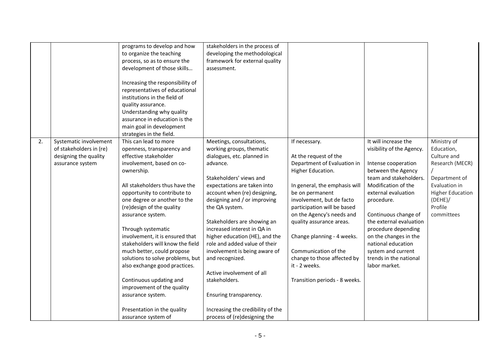|    |                         | programs to develop and how      | stakeholders in the process of    |                               |                           |                         |
|----|-------------------------|----------------------------------|-----------------------------------|-------------------------------|---------------------------|-------------------------|
|    |                         |                                  |                                   |                               |                           |                         |
|    |                         | to organize the teaching         | developing the methodological     |                               |                           |                         |
|    |                         | process, so as to ensure the     | framework for external quality    |                               |                           |                         |
|    |                         | development of those skills      | assessment.                       |                               |                           |                         |
|    |                         |                                  |                                   |                               |                           |                         |
|    |                         | Increasing the responsibility of |                                   |                               |                           |                         |
|    |                         | representatives of educational   |                                   |                               |                           |                         |
|    |                         | institutions in the field of     |                                   |                               |                           |                         |
|    |                         | quality assurance.               |                                   |                               |                           |                         |
|    |                         | Understanding why quality        |                                   |                               |                           |                         |
|    |                         | assurance in education is the    |                                   |                               |                           |                         |
|    |                         | main goal in development         |                                   |                               |                           |                         |
|    |                         | strategies in the field.         |                                   |                               |                           |                         |
| 2. | Systematic involvement  | This can lead to more            | Meetings, consultations,          | If necessary.                 | It will increase the      | Ministry of             |
|    |                         |                                  |                                   |                               |                           |                         |
|    | of stakeholders in (re) | openness, transparency and       | working groups, thematic          |                               | visibility of the Agency. | Education,              |
|    | designing the quality   | effective stakeholder            | dialogues, etc. planned in        | At the request of the         |                           | Culture and             |
|    | assurance system        | involvement, based on co-        | advance.                          | Department of Evaluation in   | Intense cooperation       | Research (MECR)         |
|    |                         | ownership.                       |                                   | Higher Education.             | between the Agency        |                         |
|    |                         |                                  | Stakeholders' views and           |                               | team and stakeholders.    | Department of           |
|    |                         | All stakeholders thus have the   | expectations are taken into       | In general, the emphasis will | Modification of the       | Evaluation in           |
|    |                         | opportunity to contribute to     | account when (re) designing,      | be on permanent               | external evaluation       | <b>Higher Education</b> |
|    |                         | one degree or another to the     | designing and / or improving      | involvement, but de facto     | procedure.                | (DEHE)                  |
|    |                         | (re)design of the quality        | the QA system.                    | participation will be based   |                           | Profile                 |
|    |                         | assurance system.                |                                   | on the Agency's needs and     | Continuous change of      | committees              |
|    |                         |                                  | Stakeholders are showing an       | quality assurance areas.      | the external evaluation   |                         |
|    |                         | Through systematic               | increased interest in QA in       |                               | procedure depending       |                         |
|    |                         | involvement, it is ensured that  | higher education (HE), and the    | Change planning - 4 weeks.    | on the changes in the     |                         |
|    |                         | stakeholders will know the field | role and added value of their     |                               | national education        |                         |
|    |                         | much better, could propose       | involvement is being aware of     | Communication of the          | system and current        |                         |
|    |                         | solutions to solve problems, but |                                   |                               | trends in the national    |                         |
|    |                         |                                  | and recognized.                   | change to those affected by   |                           |                         |
|    |                         | also exchange good practices.    |                                   | it - 2 weeks.                 | labor market.             |                         |
|    |                         |                                  | Active involvement of all         |                               |                           |                         |
|    |                         | Continuous updating and          | stakeholders.                     | Transition periods - 8 weeks. |                           |                         |
|    |                         | improvement of the quality       |                                   |                               |                           |                         |
|    |                         | assurance system.                | Ensuring transparency.            |                               |                           |                         |
|    |                         |                                  |                                   |                               |                           |                         |
|    |                         | Presentation in the quality      | Increasing the credibility of the |                               |                           |                         |
|    |                         | assurance system of              | process of (re)designing the      |                               |                           |                         |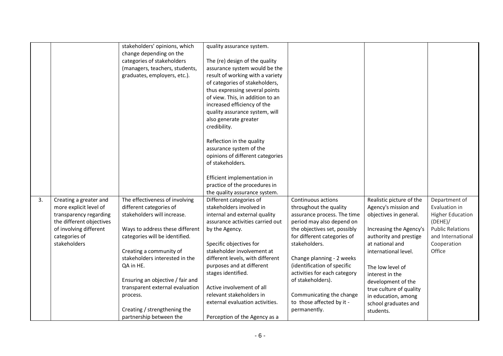|    |                          | stakeholders' opinions, which    | quality assurance system.        |                              |                          |                         |
|----|--------------------------|----------------------------------|----------------------------------|------------------------------|--------------------------|-------------------------|
|    |                          | change depending on the          |                                  |                              |                          |                         |
|    |                          | categories of stakeholders       | The (re) design of the quality   |                              |                          |                         |
|    |                          | (managers, teachers, students,   | assurance system would be the    |                              |                          |                         |
|    |                          | graduates, employers, etc.).     | result of working with a variety |                              |                          |                         |
|    |                          |                                  | of categories of stakeholders,   |                              |                          |                         |
|    |                          |                                  | thus expressing several points   |                              |                          |                         |
|    |                          |                                  | of view. This, in addition to an |                              |                          |                         |
|    |                          |                                  | increased efficiency of the      |                              |                          |                         |
|    |                          |                                  | quality assurance system, will   |                              |                          |                         |
|    |                          |                                  | also generate greater            |                              |                          |                         |
|    |                          |                                  | credibility.                     |                              |                          |                         |
|    |                          |                                  |                                  |                              |                          |                         |
|    |                          |                                  | Reflection in the quality        |                              |                          |                         |
|    |                          |                                  | assurance system of the          |                              |                          |                         |
|    |                          |                                  | opinions of different categories |                              |                          |                         |
|    |                          |                                  | of stakeholders.                 |                              |                          |                         |
|    |                          |                                  |                                  |                              |                          |                         |
|    |                          |                                  | Efficient implementation in      |                              |                          |                         |
|    |                          |                                  | practice of the procedures in    |                              |                          |                         |
|    |                          |                                  | the quality assurance system.    |                              |                          |                         |
| 3. | Creating a greater and   | The effectiveness of involving   | Different categories of          | Continuous actions           | Realistic picture of the | Department of           |
|    | more explicit level of   | different categories of          | stakeholders involved in         | throughout the quality       | Agency's mission and     | Evaluation in           |
|    | transparency regarding   | stakeholders will increase.      | internal and external quality    | assurance process. The time  | objectives in general.   | <b>Higher Education</b> |
|    | the different objectives |                                  | assurance activities carried out | period may also depend on    |                          | (DEHE)                  |
|    | of involving different   | Ways to address these different  | by the Agency.                   | the objectives set, possibly | Increasing the Agency's  | <b>Public Relations</b> |
|    | categories of            | categories will be identified.   |                                  | for different categories of  | authority and prestige   | and International       |
|    | stakeholders             |                                  | Specific objectives for          | stakeholders.                | at national and          | Cooperation             |
|    |                          | Creating a community of          | stakeholder involvement at       |                              | international level.     | Office                  |
|    |                          | stakeholders interested in the   | different levels, with different | Change planning - 2 weeks    |                          |                         |
|    |                          | QA in HE.                        | purposes and at different        | (identification of specific  | The low level of         |                         |
|    |                          |                                  | stages identified.               | activities for each category | interest in the          |                         |
|    |                          | Ensuring an objective / fair and |                                  | of stakeholders).            | development of the       |                         |
|    |                          | transparent external evaluation  | Active involvement of all        |                              | true culture of quality  |                         |
|    |                          | process.                         | relevant stakeholders in         | Communicating the change     | in education, among      |                         |
|    |                          |                                  | external evaluation activities.  | to those affected by it -    | school graduates and     |                         |
|    |                          | Creating / strengthening the     |                                  | permanently.                 | students.                |                         |
|    |                          | partnership between the          | Perception of the Agency as a    |                              |                          |                         |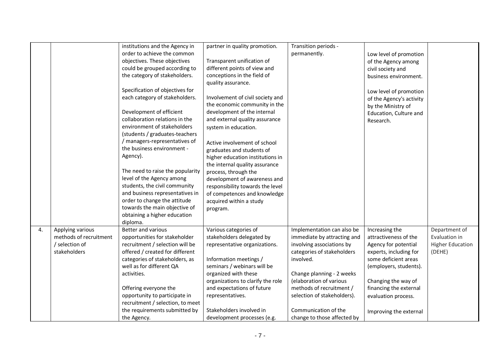|    |                        | institutions and the Agency in   | partner in quality promotion.     | Transition periods -        |                          |                         |
|----|------------------------|----------------------------------|-----------------------------------|-----------------------------|--------------------------|-------------------------|
|    |                        | order to achieve the common      |                                   | permanently.                |                          |                         |
|    |                        | objectives. These objectives     | Transparent unification of        |                             | Low level of promotion   |                         |
|    |                        |                                  | different points of view and      |                             | of the Agency among      |                         |
|    |                        | could be grouped according to    |                                   |                             | civil society and        |                         |
|    |                        | the category of stakeholders.    | conceptions in the field of       |                             | business environment.    |                         |
|    |                        |                                  | quality assurance.                |                             |                          |                         |
|    |                        | Specification of objectives for  |                                   |                             | Low level of promotion   |                         |
|    |                        | each category of stakeholders.   | Involvement of civil society and  |                             | of the Agency's activity |                         |
|    |                        |                                  | the economic community in the     |                             | by the Ministry of       |                         |
|    |                        | Development of efficient         | development of the internal       |                             | Education, Culture and   |                         |
|    |                        | collaboration relations in the   | and external quality assurance    |                             | Research.                |                         |
|    |                        | environment of stakeholders      | system in education.              |                             |                          |                         |
|    |                        | (students / graduates-teachers   |                                   |                             |                          |                         |
|    |                        | / managers-representatives of    | Active involvement of school      |                             |                          |                         |
|    |                        | the business environment -       | graduates and students of         |                             |                          |                         |
|    |                        | Agency).                         | higher education institutions in  |                             |                          |                         |
|    |                        |                                  | the internal quality assurance    |                             |                          |                         |
|    |                        | The need to raise the popularity | process, through the              |                             |                          |                         |
|    |                        | level of the Agency among        | development of awareness and      |                             |                          |                         |
|    |                        | students, the civil community    | responsibility towards the level  |                             |                          |                         |
|    |                        | and business representatives in  | of competences and knowledge      |                             |                          |                         |
|    |                        | order to change the attitude     | acquired within a study           |                             |                          |                         |
|    |                        | towards the main objective of    | program.                          |                             |                          |                         |
|    |                        | obtaining a higher education     |                                   |                             |                          |                         |
|    |                        | diploma.                         |                                   |                             |                          |                         |
| 4. | Applying various       | <b>Better and various</b>        | Various categories of             | Implementation can also be  | Increasing the           | Department of           |
|    | methods of recruitment | opportunities for stakeholder    | stakeholders delegated by         | immediate by attracting and | attractiveness of the    | Evaluation in           |
|    | / selection of         | recruitment / selection will be  | representative organizations.     | involving associations by   | Agency for potential     | <b>Higher Education</b> |
|    | stakeholders           | offered / created for different  |                                   | categories of stakeholders  | experts, including for   | (DEHE)                  |
|    |                        | categories of stakeholders, as   | Information meetings /            | involved.                   | some deficient areas     |                         |
|    |                        | well as for different QA         | seminars / webinars will be       |                             |                          |                         |
|    |                        |                                  |                                   |                             | (employers, students).   |                         |
|    |                        | activities.                      | organized with these              | Change planning - 2 weeks   |                          |                         |
|    |                        |                                  | organizations to clarify the role | (elaboration of various     | Changing the way of      |                         |
|    |                        | Offering everyone the            | and expectations of future        | methods of recruitment /    | financing the external   |                         |
|    |                        | opportunity to participate in    | representatives.                  | selection of stakeholders). | evaluation process.      |                         |
|    |                        | recruitment / selection, to meet |                                   |                             |                          |                         |
|    |                        | the requirements submitted by    | Stakeholders involved in          | Communication of the        | Improving the external   |                         |
|    |                        | the Agency.                      | development processes (e.g.       | change to those affected by |                          |                         |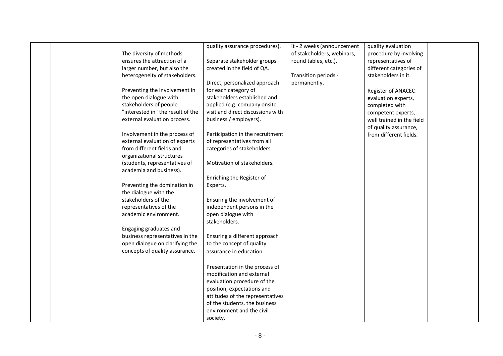|  |                                   | quality assurance procedures).    | it - 2 weeks (announcement | quality evaluation        |  |
|--|-----------------------------------|-----------------------------------|----------------------------|---------------------------|--|
|  | The diversity of methods          |                                   | of stakeholders, webinars, | procedure by involving    |  |
|  | ensures the attraction of a       | Separate stakeholder groups       | round tables, etc.).       | representatives of        |  |
|  | larger number, but also the       | created in the field of QA.       |                            | different categories of   |  |
|  | heterogeneity of stakeholders.    |                                   | Transition periods -       | stakeholders in it.       |  |
|  |                                   | Direct, personalized approach     | permanently.               |                           |  |
|  | Preventing the involvement in     | for each category of              |                            | Register of ANACEC        |  |
|  | the open dialogue with            | stakeholders established and      |                            | evaluation experts,       |  |
|  | stakeholders of people            | applied (e.g. company onsite      |                            | completed with            |  |
|  | "interested in" the result of the | visit and direct discussions with |                            | competent experts,        |  |
|  | external evaluation process.      | business / employers).            |                            | well trained in the field |  |
|  |                                   |                                   |                            | of quality assurance,     |  |
|  | Involvement in the process of     | Participation in the recruitment  |                            | from different fields.    |  |
|  | external evaluation of experts    | of representatives from all       |                            |                           |  |
|  | from different fields and         | categories of stakeholders.       |                            |                           |  |
|  | organizational structures         |                                   |                            |                           |  |
|  | (students, representatives of     | Motivation of stakeholders.       |                            |                           |  |
|  | academia and business).           |                                   |                            |                           |  |
|  |                                   | Enriching the Register of         |                            |                           |  |
|  | Preventing the domination in      | Experts.                          |                            |                           |  |
|  | the dialogue with the             |                                   |                            |                           |  |
|  | stakeholders of the               | Ensuring the involvement of       |                            |                           |  |
|  | representatives of the            | independent persons in the        |                            |                           |  |
|  | academic environment.             | open dialogue with                |                            |                           |  |
|  |                                   | stakeholders.                     |                            |                           |  |
|  | Engaging graduates and            |                                   |                            |                           |  |
|  | business representatives in the   | Ensuring a different approach     |                            |                           |  |
|  | open dialogue on clarifying the   | to the concept of quality         |                            |                           |  |
|  | concepts of quality assurance.    | assurance in education.           |                            |                           |  |
|  |                                   |                                   |                            |                           |  |
|  |                                   | Presentation in the process of    |                            |                           |  |
|  |                                   | modification and external         |                            |                           |  |
|  |                                   | evaluation procedure of the       |                            |                           |  |
|  |                                   | position, expectations and        |                            |                           |  |
|  |                                   | attitudes of the representatives  |                            |                           |  |
|  |                                   | of the students, the business     |                            |                           |  |
|  |                                   | environment and the civil         |                            |                           |  |
|  |                                   | society.                          |                            |                           |  |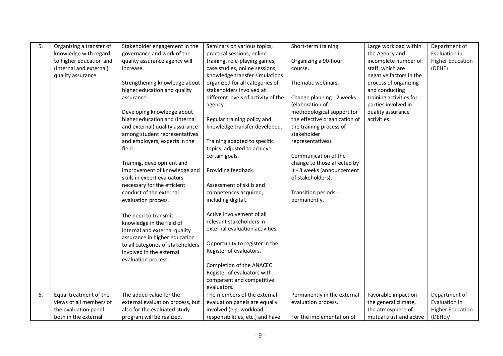| 5. | Organizing a transfer of | Stakeholder engagement in the     | Seminars on various topics,         | Short-term training.          | Large workload within   | Department of           |
|----|--------------------------|-----------------------------------|-------------------------------------|-------------------------------|-------------------------|-------------------------|
|    | knowledge with regard    | governance and work of the        | practical sessions, online          |                               | the Agency and          | Evaluation in           |
|    | to higher education and  | quality assurance agency will     | training, role-playing games,       | Organizing a 90-hour          | incomplete number of    | <b>Higher Education</b> |
|    | (internal and external)  | increase.                         | case studies, online sessions,      | course.                       | staff, which are        | (DEHE)                  |
|    | quality assurance        |                                   | knowledge transfer simulations      |                               | negative factors in the |                         |
|    |                          | Strengthening knowledge about     | organized for all categories of     | Thematic webinars.            | process of organizing   |                         |
|    |                          | higher education and quality      | stakeholders involved at            |                               | and conducting          |                         |
|    |                          | assurance.                        | different levels of activity of the | Change planning - 2 weeks     | training activities for |                         |
|    |                          |                                   | agency.                             | (elaboration of               | parties involved in     |                         |
|    |                          | Developing knowledge about        |                                     | methodological support for    | quality assurance       |                         |
|    |                          | higher education and (internal    | Regular training policy and         | the effective organization of | activities.             |                         |
|    |                          | and external) quality assurance   | knowledge transfer developed.       | the training process of       |                         |                         |
|    |                          | among student representatives     |                                     | stakeholder                   |                         |                         |
|    |                          | and employers, experts in the     | Training adapted to specific        | representatives).             |                         |                         |
|    |                          | field.                            | topics, adjusted to achieve         |                               |                         |                         |
|    |                          |                                   | certain goals.                      | Communication of the          |                         |                         |
|    |                          | Training, development and         |                                     | change to those affected by   |                         |                         |
|    |                          | improvement of knowledge and      | Providing feedback.                 | it - 3 weeks (announcement    |                         |                         |
|    |                          | skills in expert evaluators       |                                     | of stakeholders).             |                         |                         |
|    |                          | necessary for the efficient       | Assessment of skills and            |                               |                         |                         |
|    |                          | conduct of the external           | competences acquired,               | Transition periods -          |                         |                         |
|    |                          | evaluation process.               | including digital.                  | permanently.                  |                         |                         |
|    |                          |                                   |                                     |                               |                         |                         |
|    |                          | The need to transmit              | Active involvement of all           |                               |                         |                         |
|    |                          | knowledge in the field of         | relevant stakeholders in            |                               |                         |                         |
|    |                          | internal and external quality     | external evaluation activities.     |                               |                         |                         |
|    |                          | assurance in higher education     |                                     |                               |                         |                         |
|    |                          | to all categories of stakeholders | Opportunity to register in the      |                               |                         |                         |
|    |                          | involved in the external          | Register of evaluators.             |                               |                         |                         |
|    |                          | evaluation process.               |                                     |                               |                         |                         |
|    |                          |                                   | Completion of the ANACEC            |                               |                         |                         |
|    |                          |                                   | Register of evaluators with         |                               |                         |                         |
|    |                          |                                   | competent and competitive           |                               |                         |                         |
|    |                          |                                   | evaluators.                         |                               |                         |                         |
| 6. | Equal treatment of the   | The added value for the           | The members of the external         | Permanently in the external   | Favorable impact on     | Department of           |
|    | views of all members of  | external evaluation process, but  | evaluation panels are equally       | evaluation process.           | the general climate,    | Evaluation in           |
|    | the evaluation panel     | also for the evaluated study      | involved (e.g. workload,            |                               | the atmosphere of       | <b>Higher Education</b> |
|    | both in the external     | program will be realized.         | responsibilities, etc.) and have    | For the implementation of     | mutual trust and active | (DEHE)                  |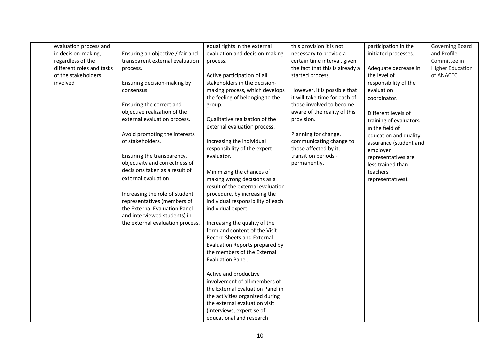| evaluation process and    |                                  | equal rights in the external      | this provision it is not        | participation in the   | Governing Board         |
|---------------------------|----------------------------------|-----------------------------------|---------------------------------|------------------------|-------------------------|
| in decision-making,       | Ensuring an objective / fair and | evaluation and decision-making    | necessary to provide a          | initiated processes.   | and Profile             |
| regardless of the         | transparent external evaluation  | process.                          | certain time interval, given    |                        | Committee in            |
| different roles and tasks | process.                         |                                   | the fact that this is already a | Adequate decrease in   | <b>Higher Education</b> |
| of the stakeholders       |                                  | Active participation of all       | started process.                | the level of           | of ANACEC               |
| involved                  | Ensuring decision-making by      | stakeholders in the decision-     |                                 | responsibility of the  |                         |
|                           | consensus.                       | making process, which develops    | However, it is possible that    | evaluation             |                         |
|                           |                                  | the feeling of belonging to the   | it will take time for each of   | coordinator.           |                         |
|                           | Ensuring the correct and         | group.                            | those involved to become        |                        |                         |
|                           | objective realization of the     |                                   | aware of the reality of this    | Different levels of    |                         |
|                           | external evaluation process.     | Qualitative realization of the    | provision.                      | training of evaluators |                         |
|                           |                                  | external evaluation process.      |                                 | in the field of        |                         |
|                           | Avoid promoting the interests    |                                   | Planning for change,            | education and quality  |                         |
|                           | of stakeholders.                 | Increasing the individual         | communicating change to         | assurance (student and |                         |
|                           |                                  | responsibility of the expert      | those affected by it,           | employer               |                         |
|                           | Ensuring the transparency,       | evaluator.                        | transition periods -            | representatives are    |                         |
|                           | objectivity and correctness of   |                                   | permanently.                    | less trained than      |                         |
|                           | decisions taken as a result of   | Minimizing the chances of         |                                 | teachers'              |                         |
|                           | external evaluation.             | making wrong decisions as a       |                                 | representatives).      |                         |
|                           |                                  | result of the external evaluation |                                 |                        |                         |
|                           | Increasing the role of student   | procedure, by increasing the      |                                 |                        |                         |
|                           | representatives (members of      | individual responsibility of each |                                 |                        |                         |
|                           | the External Evaluation Panel    | individual expert.                |                                 |                        |                         |
|                           | and interviewed students) in     |                                   |                                 |                        |                         |
|                           | the external evaluation process. | Increasing the quality of the     |                                 |                        |                         |
|                           |                                  | form and content of the Visit     |                                 |                        |                         |
|                           |                                  | <b>Record Sheets and External</b> |                                 |                        |                         |
|                           |                                  | Evaluation Reports prepared by    |                                 |                        |                         |
|                           |                                  | the members of the External       |                                 |                        |                         |
|                           |                                  | Evaluation Panel.                 |                                 |                        |                         |
|                           |                                  |                                   |                                 |                        |                         |
|                           |                                  | Active and productive             |                                 |                        |                         |
|                           |                                  | involvement of all members of     |                                 |                        |                         |
|                           |                                  | the External Evaluation Panel in  |                                 |                        |                         |
|                           |                                  | the activities organized during   |                                 |                        |                         |
|                           |                                  | the external evaluation visit     |                                 |                        |                         |
|                           |                                  | (interviews, expertise of         |                                 |                        |                         |
|                           |                                  | educational and research          |                                 |                        |                         |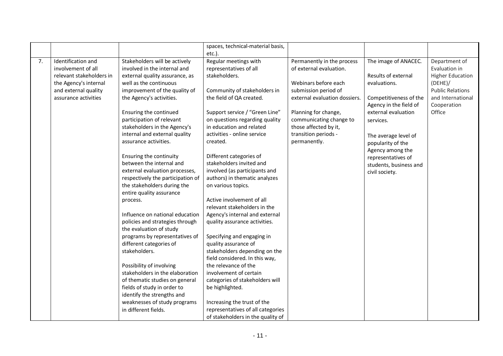|    |                          |                                   | spaces, technical-material basis, |                               |                        |                         |
|----|--------------------------|-----------------------------------|-----------------------------------|-------------------------------|------------------------|-------------------------|
|    |                          |                                   | etc.).                            |                               |                        |                         |
| 7. | Identification and       | Stakeholders will be actively     | Regular meetings with             | Permanently in the process    | The image of ANACEC.   | Department of           |
|    | involvement of all       | involved in the internal and      | representatives of all            | of external evaluation.       |                        | Evaluation in           |
|    | relevant stakeholders in | external quality assurance, as    | stakeholders.                     |                               | Results of external    | <b>Higher Education</b> |
|    | the Agency's internal    | well as the continuous            |                                   | Webinars before each          | evaluations.           | (DEHE)/                 |
|    | and external quality     | improvement of the quality of     | Community of stakeholders in      | submission period of          |                        | <b>Public Relations</b> |
|    | assurance activities     | the Agency's activities.          | the field of QA created.          | external evaluation dossiers. | Competitiveness of the | and International       |
|    |                          |                                   |                                   |                               | Agency in the field of | Cooperation             |
|    |                          | Ensuring the continued            | Support service / "Green Line"    | Planning for change,          | external evaluation    | Office                  |
|    |                          | participation of relevant         | on questions regarding quality    | communicating change to       | services.              |                         |
|    |                          | stakeholders in the Agency's      | in education and related          | those affected by it,         |                        |                         |
|    |                          | internal and external quality     | activities - online service       | transition periods -          | The average level of   |                         |
|    |                          | assurance activities.             | created.                          | permanently.                  | popularity of the      |                         |
|    |                          |                                   |                                   |                               | Agency among the       |                         |
|    |                          | Ensuring the continuity           | Different categories of           |                               | representatives of     |                         |
|    |                          | between the internal and          | stakeholders invited and          |                               | students, business and |                         |
|    |                          | external evaluation processes,    | involved (as participants and     |                               | civil society.         |                         |
|    |                          | respectively the participation of | authors) in thematic analyzes     |                               |                        |                         |
|    |                          | the stakeholders during the       | on various topics.                |                               |                        |                         |
|    |                          | entire quality assurance          | Active involvement of all         |                               |                        |                         |
|    |                          | process.                          | relevant stakeholders in the      |                               |                        |                         |
|    |                          | Influence on national education   | Agency's internal and external    |                               |                        |                         |
|    |                          | policies and strategies through   | quality assurance activities.     |                               |                        |                         |
|    |                          | the evaluation of study           |                                   |                               |                        |                         |
|    |                          | programs by representatives of    | Specifying and engaging in        |                               |                        |                         |
|    |                          | different categories of           | quality assurance of              |                               |                        |                         |
|    |                          | stakeholders.                     | stakeholders depending on the     |                               |                        |                         |
|    |                          |                                   | field considered. In this way,    |                               |                        |                         |
|    |                          | Possibility of involving          | the relevance of the              |                               |                        |                         |
|    |                          | stakeholders in the elaboration   | involvement of certain            |                               |                        |                         |
|    |                          | of thematic studies on general    | categories of stakeholders will   |                               |                        |                         |
|    |                          | fields of study in order to       | be highlighted.                   |                               |                        |                         |
|    |                          | identify the strengths and        |                                   |                               |                        |                         |
|    |                          | weaknesses of study programs      | Increasing the trust of the       |                               |                        |                         |
|    |                          | in different fields.              | representatives of all categories |                               |                        |                         |
|    |                          |                                   | of stakeholders in the quality of |                               |                        |                         |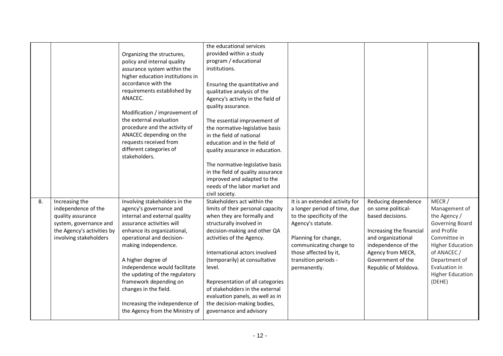|    |                            |                                  | the educational services          |                                |                          |                         |
|----|----------------------------|----------------------------------|-----------------------------------|--------------------------------|--------------------------|-------------------------|
|    |                            | Organizing the structures,       | provided within a study           |                                |                          |                         |
|    |                            | policy and internal quality      | program / educational             |                                |                          |                         |
|    |                            | assurance system within the      | institutions.                     |                                |                          |                         |
|    |                            | higher education institutions in |                                   |                                |                          |                         |
|    |                            | accordance with the              | Ensuring the quantitative and     |                                |                          |                         |
|    |                            | requirements established by      | qualitative analysis of the       |                                |                          |                         |
|    |                            | ANACEC.                          | Agency's activity in the field of |                                |                          |                         |
|    |                            |                                  | quality assurance.                |                                |                          |                         |
|    |                            | Modification / improvement of    |                                   |                                |                          |                         |
|    |                            | the external evaluation          | The essential improvement of      |                                |                          |                         |
|    |                            | procedure and the activity of    | the normative-legislative basis   |                                |                          |                         |
|    |                            | ANACEC depending on the          | in the field of national          |                                |                          |                         |
|    |                            | requests received from           | education and in the field of     |                                |                          |                         |
|    |                            | different categories of          | quality assurance in education.   |                                |                          |                         |
|    |                            | stakeholders.                    |                                   |                                |                          |                         |
|    |                            |                                  | The normative-legislative basis   |                                |                          |                         |
|    |                            |                                  | in the field of quality assurance |                                |                          |                         |
|    |                            |                                  | improved and adapted to the       |                                |                          |                         |
|    |                            |                                  | needs of the labor market and     |                                |                          |                         |
|    |                            |                                  | civil society.                    |                                |                          |                         |
| 8. | Increasing the             | Involving stakeholders in the    | Stakeholders act within the       | It is an extended activity for | Reducing dependence      | MECR /                  |
|    | independence of the        | agency's governance and          | limits of their personal capacity | a longer period of time, due   | on some political-       | Management of           |
|    | quality assurance          | internal and external quality    | when they are formally and        | to the specificity of the      | based decisions.         | the Agency /            |
|    | system, governance and     | assurance activities will        | structurally involved in          | Agency's statute.              |                          | Governing Board         |
|    | the Agency's activities by | enhance its organizational,      | decision-making and other QA      |                                | Increasing the financial | and Profile             |
|    | involving stakeholders     | operational and decision-        | activities of the Agency.         | Planning for change,           | and organizational       | Committee in            |
|    |                            | making independence.             |                                   | communicating change to        | independence of the      | <b>Higher Education</b> |
|    |                            |                                  | International actors involved     | those affected by it,          | Agency from MECR,        | of ANACEC /             |
|    |                            | A higher degree of               | (temporarily) at consultative     | transition periods -           | Government of the        | Department of           |
|    |                            | independence would facilitate    | level.                            | permanently.                   | Republic of Moldova.     | Evaluation in           |
|    |                            | the updating of the regulatory   |                                   |                                |                          | <b>Higher Education</b> |
|    |                            | framework depending on           | Representation of all categories  |                                |                          | (DEHE)                  |
|    |                            | changes in the field.            | of stakeholders in the external   |                                |                          |                         |
|    |                            |                                  | evaluation panels, as well as in  |                                |                          |                         |
|    |                            | Increasing the independence of   | the decision-making bodies,       |                                |                          |                         |
|    |                            | the Agency from the Ministry of  | governance and advisory           |                                |                          |                         |
|    |                            |                                  |                                   |                                |                          |                         |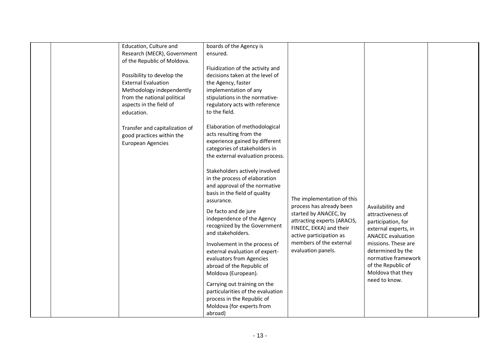| Education, Culture and<br>Research (MECR), Government<br>of the Republic of Moldova.<br>Possibility to develop the<br><b>External Evaluation</b><br>Methodology independently<br>from the national political<br>aspects in the field of<br>education.<br>Transfer and capitalization of<br>good practices within the<br><b>European Agencies</b> | boards of the Agency is<br>ensured.<br>Fluidization of the activity and<br>decisions taken at the level of<br>the Agency, faster<br>implementation of any<br>stipulations in the normative-<br>regulatory acts with reference<br>to the field.<br>Elaboration of methodological<br>acts resulting from the<br>experience gained by different<br>categories of stakeholders in<br>the external evaluation process.<br>Stakeholders actively involved                                                                    |                                                                                                                                                                                                                       |                                                                                                                                                                                                                                                |  |
|--------------------------------------------------------------------------------------------------------------------------------------------------------------------------------------------------------------------------------------------------------------------------------------------------------------------------------------------------|------------------------------------------------------------------------------------------------------------------------------------------------------------------------------------------------------------------------------------------------------------------------------------------------------------------------------------------------------------------------------------------------------------------------------------------------------------------------------------------------------------------------|-----------------------------------------------------------------------------------------------------------------------------------------------------------------------------------------------------------------------|------------------------------------------------------------------------------------------------------------------------------------------------------------------------------------------------------------------------------------------------|--|
|                                                                                                                                                                                                                                                                                                                                                  | in the process of elaboration<br>and approval of the normative<br>basis in the field of quality<br>assurance.<br>De facto and de jure<br>independence of the Agency<br>recognized by the Government<br>and stakeholders.<br>Involvement in the process of<br>external evaluation of expert-<br>evaluators from Agencies<br>abroad of the Republic of<br>Moldova (European).<br>Carrying out training on the<br>particularities of the evaluation<br>process in the Republic of<br>Moldova (for experts from<br>abroad) | The implementation of this<br>process has already been<br>started by ANACEC, by<br>attracting experts (ARACIS,<br>FINEEC, EKKA) and their<br>active participation as<br>members of the external<br>evaluation panels. | Availability and<br>attractiveness of<br>participation, for<br>external experts, in<br><b>ANACEC</b> evaluation<br>missions. These are<br>determined by the<br>normative framework<br>of the Republic of<br>Moldova that they<br>need to know. |  |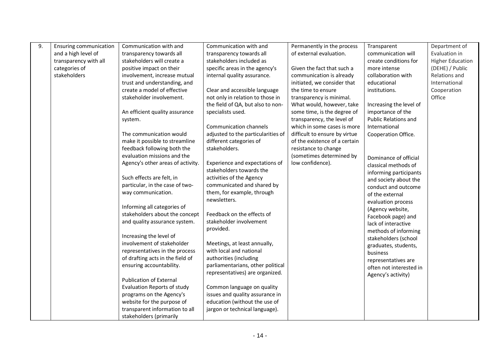| 9. | Ensuring communication | Communication with and            | Communication with and             | Permanently in the process    | Transparent                 | Department of           |
|----|------------------------|-----------------------------------|------------------------------------|-------------------------------|-----------------------------|-------------------------|
|    | and a high level of    | transparency towards all          | transparency towards all           | of external evaluation.       | communication will          | Evaluation in           |
|    | transparency with all  | stakeholders will create a        | stakeholders included as           |                               | create conditions for       | <b>Higher Education</b> |
|    | categories of          | positive impact on their          | specific areas in the agency's     | Given the fact that such a    | more intense                | (DEHE) / Public         |
|    | stakeholders           | involvement, increase mutual      | internal quality assurance.        | communication is already      | collaboration with          | Relations and           |
|    |                        | trust and understanding, and      |                                    | initiated, we consider that   | educational                 | International           |
|    |                        | create a model of effective       | Clear and accessible language      | the time to ensure            | institutions.               | Cooperation             |
|    |                        | stakeholder involvement.          | not only in relation to those in   | transparency is minimal.      |                             | Office                  |
|    |                        |                                   | the field of QA, but also to non-  | What would, however, take     | Increasing the level of     |                         |
|    |                        | An efficient quality assurance    | specialists used.                  | some time, is the degree of   | importance of the           |                         |
|    |                        | system.                           |                                    | transparency, the level of    | <b>Public Relations and</b> |                         |
|    |                        |                                   | Communication channels             | which in some cases is more   | International               |                         |
|    |                        | The communication would           | adjusted to the particularities of | difficult to ensure by virtue | Cooperation Office.         |                         |
|    |                        | make it possible to streamline    | different categories of            | of the existence of a certain |                             |                         |
|    |                        | feedback following both the       | stakeholders.                      | resistance to change          |                             |                         |
|    |                        | evaluation missions and the       |                                    | (sometimes determined by      | Dominance of official       |                         |
|    |                        | Agency's other areas of activity. | Experience and expectations of     | low confidence).              | classical methods of        |                         |
|    |                        |                                   | stakeholders towards the           |                               | informing participants      |                         |
|    |                        | Such effects are felt, in         | activities of the Agency           |                               | and society about the       |                         |
|    |                        | particular, in the case of two-   | communicated and shared by         |                               | conduct and outcome         |                         |
|    |                        | way communication.                | them, for example, through         |                               | of the external             |                         |
|    |                        |                                   | newsletters.                       |                               | evaluation process          |                         |
|    |                        | Informing all categories of       |                                    |                               | (Agency website,            |                         |
|    |                        | stakeholders about the concept    | Feedback on the effects of         |                               | Facebook page) and          |                         |
|    |                        | and quality assurance system.     | stakeholder involvement            |                               | lack of interactive         |                         |
|    |                        |                                   | provided.                          |                               | methods of informing        |                         |
|    |                        | Increasing the level of           |                                    |                               | stakeholders (school        |                         |
|    |                        | involvement of stakeholder        | Meetings, at least annually,       |                               | graduates, students,        |                         |
|    |                        | representatives in the process    | with local and national            |                               | business                    |                         |
|    |                        | of drafting acts in the field of  | authorities (including             |                               | representatives are         |                         |
|    |                        | ensuring accountability.          | parliamentarians, other political  |                               | often not interested in     |                         |
|    |                        |                                   | representatives) are organized.    |                               | Agency's activity)          |                         |
|    |                        | <b>Publication of External</b>    |                                    |                               |                             |                         |
|    |                        | Evaluation Reports of study       | Common language on quality         |                               |                             |                         |
|    |                        | programs on the Agency's          | issues and quality assurance in    |                               |                             |                         |
|    |                        | website for the purpose of        | education (without the use of      |                               |                             |                         |
|    |                        | transparent information to all    | jargon or technical language).     |                               |                             |                         |
|    |                        | stakeholders (primarily           |                                    |                               |                             |                         |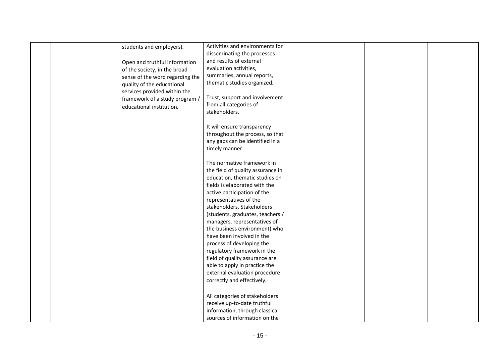|  | students and employers).        | Activities and environments for                                                                                                  |  |  |
|--|---------------------------------|----------------------------------------------------------------------------------------------------------------------------------|--|--|
|  |                                 | disseminating the processes                                                                                                      |  |  |
|  |                                 | and results of external                                                                                                          |  |  |
|  | Open and truthful information   | evaluation activities,                                                                                                           |  |  |
|  | of the society, in the broad    |                                                                                                                                  |  |  |
|  | sense of the word regarding the | summaries, annual reports,                                                                                                       |  |  |
|  | quality of the educational      | thematic studies organized.                                                                                                      |  |  |
|  | services provided within the    |                                                                                                                                  |  |  |
|  | framework of a study program /  | Trust, support and involvement                                                                                                   |  |  |
|  | educational institution.        | from all categories of                                                                                                           |  |  |
|  |                                 | stakeholders.                                                                                                                    |  |  |
|  |                                 |                                                                                                                                  |  |  |
|  |                                 | It will ensure transparency                                                                                                      |  |  |
|  |                                 | throughout the process, so that                                                                                                  |  |  |
|  |                                 | any gaps can be identified in a                                                                                                  |  |  |
|  |                                 | timely manner.                                                                                                                   |  |  |
|  |                                 |                                                                                                                                  |  |  |
|  |                                 | The normative framework in                                                                                                       |  |  |
|  |                                 | the field of quality assurance in                                                                                                |  |  |
|  |                                 | education, thematic studies on                                                                                                   |  |  |
|  |                                 | fields is elaborated with the                                                                                                    |  |  |
|  |                                 | active participation of the                                                                                                      |  |  |
|  |                                 | representatives of the                                                                                                           |  |  |
|  |                                 | stakeholders. Stakeholders                                                                                                       |  |  |
|  |                                 | (students, graduates, teachers /                                                                                                 |  |  |
|  |                                 | managers, representatives of                                                                                                     |  |  |
|  |                                 | the business environment) who                                                                                                    |  |  |
|  |                                 | have been involved in the                                                                                                        |  |  |
|  |                                 | process of developing the                                                                                                        |  |  |
|  |                                 | regulatory framework in the                                                                                                      |  |  |
|  |                                 | field of quality assurance are                                                                                                   |  |  |
|  |                                 | able to apply in practice the                                                                                                    |  |  |
|  |                                 | external evaluation procedure                                                                                                    |  |  |
|  |                                 | correctly and effectively.                                                                                                       |  |  |
|  |                                 |                                                                                                                                  |  |  |
|  |                                 |                                                                                                                                  |  |  |
|  |                                 |                                                                                                                                  |  |  |
|  |                                 |                                                                                                                                  |  |  |
|  |                                 |                                                                                                                                  |  |  |
|  |                                 | All categories of stakeholders<br>receive up-to-date truthful<br>information, through classical<br>sources of information on the |  |  |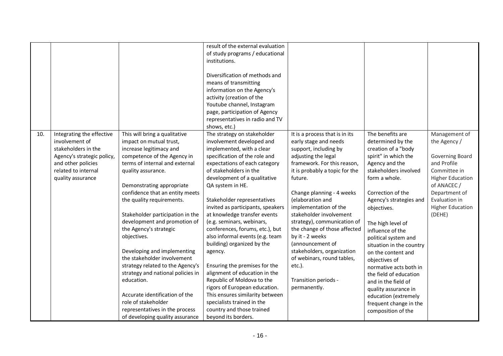|     |                            |                                   | result of the external evaluation |                                |                          |                         |
|-----|----------------------------|-----------------------------------|-----------------------------------|--------------------------------|--------------------------|-------------------------|
|     |                            |                                   | of study programs / educational   |                                |                          |                         |
|     |                            |                                   | institutions.                     |                                |                          |                         |
|     |                            |                                   |                                   |                                |                          |                         |
|     |                            |                                   | Diversification of methods and    |                                |                          |                         |
|     |                            |                                   | means of transmitting             |                                |                          |                         |
|     |                            |                                   | information on the Agency's       |                                |                          |                         |
|     |                            |                                   | activity (creation of the         |                                |                          |                         |
|     |                            |                                   | Youtube channel, Instagram        |                                |                          |                         |
|     |                            |                                   | page, participation of Agency     |                                |                          |                         |
|     |                            |                                   | representatives in radio and TV   |                                |                          |                         |
|     |                            |                                   | shows, etc.)                      |                                |                          |                         |
| 10. | Integrating the effective  | This will bring a qualitative     | The strategy on stakeholder       | It is a process that is in its | The benefits are         | Management of           |
|     | involvement of             | impact on mutual trust,           | involvement developed and         | early stage and needs          | determined by the        | the Agency /            |
|     | stakeholders in the        | increase legitimacy and           |                                   |                                | creation of a "body      |                         |
|     |                            |                                   | implemented, with a clear         | support, including by          |                          |                         |
|     | Agency's strategic policy, | competence of the Agency in       | specification of the role and     | adjusting the legal            | spirit" in which the     | Governing Board         |
|     | and other policies         | terms of internal and external    | expectations of each category     | framework. For this reason,    | Agency and the           | and Profile             |
|     | related to internal        | quality assurance.                | of stakeholders in the            | it is probably a topic for the | stakeholders involved    | Committee in            |
|     | quality assurance          |                                   | development of a qualitative      | future.                        | form a whole.            | <b>Higher Education</b> |
|     |                            | Demonstrating appropriate         | QA system in HE.                  |                                |                          | of ANACEC /             |
|     |                            | confidence that an entity meets   |                                   | Change planning - 4 weeks      | Correction of the        | Department of           |
|     |                            | the quality requirements.         | Stakeholder representatives       | (elaboration and               | Agency's strategies and  | Evaluation in           |
|     |                            |                                   | invited as participants, speakers | implementation of the          | objectives.              | <b>Higher Education</b> |
|     |                            | Stakeholder participation in the  | at knowledge transfer events      | stakeholder involvement        |                          | (DEHE)                  |
|     |                            | development and promotion of      | (e.g. seminars, webinars,         | strategy), communication of    | The high level of        |                         |
|     |                            | the Agency's strategic            | conferences, forums, etc.), but   | the change of those affected   | influence of the         |                         |
|     |                            | objectives.                       | also informal events (e.g. team   | by it - 2 weeks                | political system and     |                         |
|     |                            |                                   | building) organized by the        | (announcement of               | situation in the country |                         |
|     |                            | Developing and implementing       | agency.                           | stakeholders, organization     | on the content and       |                         |
|     |                            | the stakeholder involvement       |                                   | of webinars, round tables,     | objectives of            |                         |
|     |                            | strategy related to the Agency's  | Ensuring the premises for the     | etc.).                         | normative acts both in   |                         |
|     |                            | strategy and national policies in | alignment of education in the     |                                | the field of education   |                         |
|     |                            | education.                        | Republic of Moldova to the        | Transition periods -           | and in the field of      |                         |
|     |                            |                                   | rigors of European education.     | permanently.                   | quality assurance in     |                         |
|     |                            | Accurate identification of the    | This ensures similarity between   |                                | education (extremely     |                         |
|     |                            | role of stakeholder               | specialists trained in the        |                                | frequent change in the   |                         |
|     |                            | representatives in the process    | country and those trained         |                                | composition of the       |                         |
|     |                            | of developing quality assurance   | beyond its borders.               |                                |                          |                         |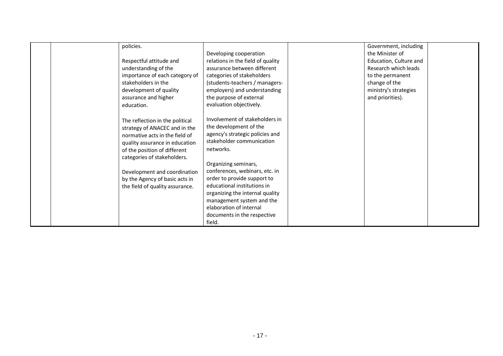| policies.<br>Respectful attitude and<br>understanding of the<br>importance of each category of<br>stakeholders in the<br>development of quality<br>assurance and higher<br>education.                                                                                                                    | Developing cooperation<br>relations in the field of quality<br>assurance between different<br>categories of stakeholders<br>(students-teachers / managers-<br>employers) and understanding<br>the purpose of external<br>evaluation objectively.                                                                                                                                                  | Government, including<br>the Minister of<br>Education, Culture and<br>Research which leads<br>to the permanent<br>change of the<br>ministry's strategies<br>and priorities). |  |
|----------------------------------------------------------------------------------------------------------------------------------------------------------------------------------------------------------------------------------------------------------------------------------------------------------|---------------------------------------------------------------------------------------------------------------------------------------------------------------------------------------------------------------------------------------------------------------------------------------------------------------------------------------------------------------------------------------------------|------------------------------------------------------------------------------------------------------------------------------------------------------------------------------|--|
| The reflection in the political<br>strategy of ANACEC and in the<br>normative acts in the field of<br>quality assurance in education<br>of the position of different<br>categories of stakeholders.<br>Development and coordination<br>by the Agency of basic acts in<br>the field of quality assurance. | Involvement of stakeholders in<br>the development of the<br>agency's strategic policies and<br>stakeholder communication<br>networks.<br>Organizing seminars,<br>conferences, webinars, etc. in<br>order to provide support to<br>educational institutions in<br>organizing the internal quality<br>management system and the<br>elaboration of internal<br>documents in the respective<br>field. |                                                                                                                                                                              |  |